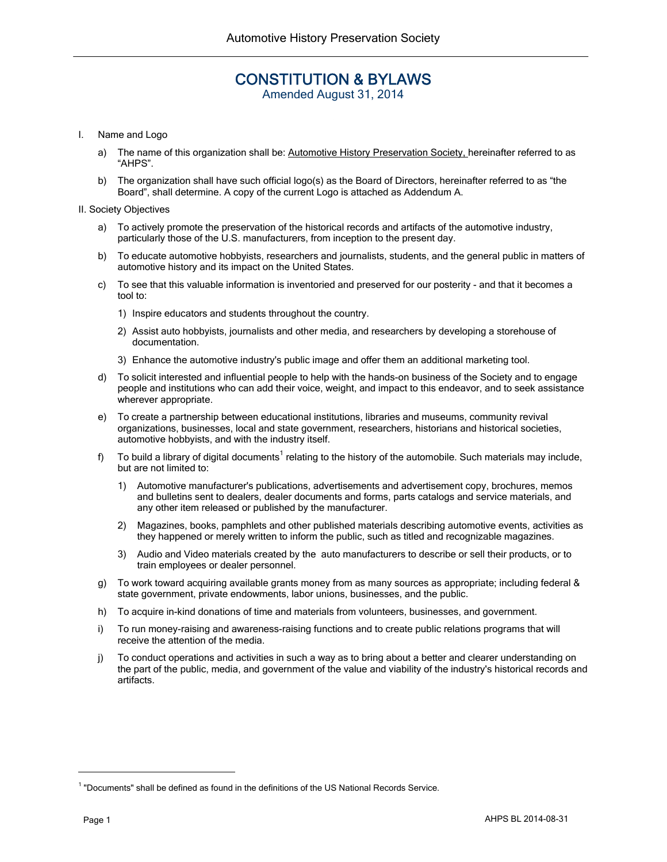# CONSTITUTION & BYLAWS Amended August 31, 2014

- I. Name and Logo
	- a) The name of this organization shall be: Automotive History Preservation Society, hereinafter referred to as "AHPS".
	- b) The organization shall have such official logo(s) as the Board of Directors, hereinafter referred to as "the Board", shall determine. A copy of the current Logo is attached as Addendum A.

### II. Society Objectives

- a) To actively promote the preservation of the historical records and artifacts of the automotive industry, particularly those of the U.S. manufacturers, from inception to the present day.
- b) To educate automotive hobbyists, researchers and journalists, students, and the general public in matters of automotive history and its impact on the United States.
- c) To see that this valuable information is inventoried and preserved for our posterity and that it becomes a tool to:
	- 1) Inspire educators and students throughout the country.
	- 2) Assist auto hobbyists, journalists and other media, and researchers by developing a storehouse of documentation.
	- 3) Enhance the automotive industry's public image and offer them an additional marketing tool.
- d) To solicit interested and influential people to help with the hands-on business of the Society and to engage people and institutions who can add their voice, weight, and impact to this endeavor, and to seek assistance wherever appropriate.
- e) To create a partnership between educational institutions, libraries and museums, community revival organizations, businesses, local and state government, researchers, historians and historical societies, automotive hobbyists, and with the industry itself.
- f) To build a library of digital documents<sup>1</sup> relating to the history of the automobile. Such materials may include, but are not limited to:
	- 1) Automotive manufacturer's publications, advertisements and advertisement copy, brochures, memos and bulletins sent to dealers, dealer documents and forms, parts catalogs and service materials, and any other item released or published by the manufacturer.
	- 2) Magazines, books, pamphlets and other published materials describing automotive events, activities as they happened or merely written to inform the public, such as titled and recognizable magazines.
	- 3) Audio and Video materials created by the auto manufacturers to describe or sell their products, or to train employees or dealer personnel.
- g) To work toward acquiring available grants money from as many sources as appropriate; including federal & state government, private endowments, labor unions, businesses, and the public.
- h) To acquire in-kind donations of time and materials from volunteers, businesses, and government.
- i) To run money-raising and awareness-raising functions and to create public relations programs that will receive the attention of the media.
- j) To conduct operations and activities in such a way as to bring about a better and clearer understanding on the part of the public, media, and government of the value and viability of the industry's historical records and artifacts.

-

<sup>&</sup>lt;sup>1</sup> "Documents" shall be defined as found in the definitions of the US National Records Service.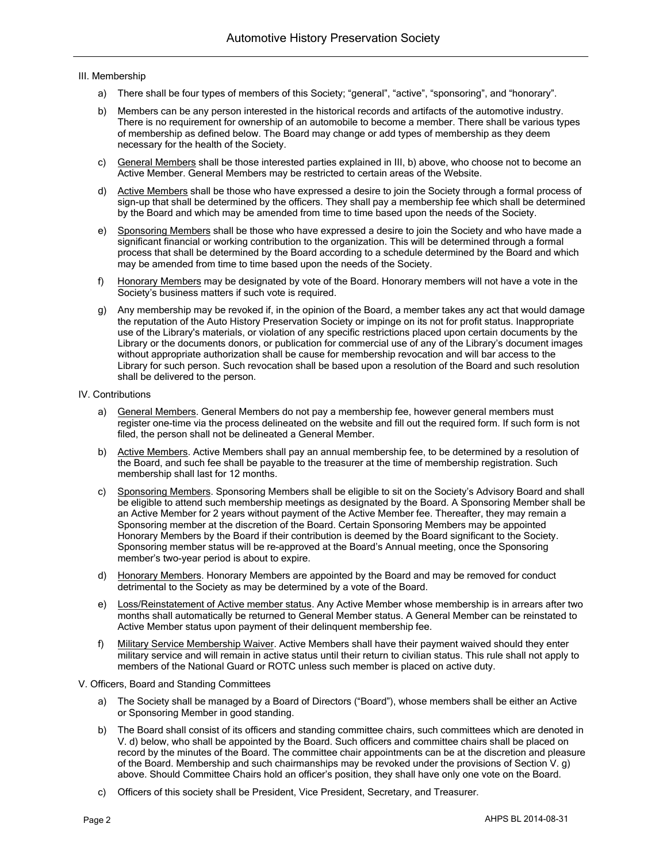### III. Membership

- a) There shall be four types of members of this Society; "general", "active", "sponsoring", and "honorary".
- b) Members can be any person interested in the historical records and artifacts of the automotive industry. There is no requirement for ownership of an automobile to become a member. There shall be various types of membership as defined below. The Board may change or add types of membership as they deem necessary for the health of the Society.
- c) General Members shall be those interested parties explained in III, b) above, who choose not to become an Active Member. General Members may be restricted to certain areas of the Website.
- d) Active Members shall be those who have expressed a desire to join the Society through a formal process of sign-up that shall be determined by the officers. They shall pay a membership fee which shall be determined by the Board and which may be amended from time to time based upon the needs of the Society.
- e) Sponsoring Members shall be those who have expressed a desire to join the Society and who have made a significant financial or working contribution to the organization. This will be determined through a formal process that shall be determined by the Board according to a schedule determined by the Board and which may be amended from time to time based upon the needs of the Society.
- f) Honorary Members may be designated by vote of the Board. Honorary members will not have a vote in the Society's business matters if such vote is required.
- g) Any membership may be revoked if, in the opinion of the Board, a member takes any act that would damage the reputation of the Auto History Preservation Society or impinge on its not for profit status. Inappropriate use of the Library's materials, or violation of any specific restrictions placed upon certain documents by the Library or the documents donors, or publication for commercial use of any of the Library's document images without appropriate authorization shall be cause for membership revocation and will bar access to the Library for such person. Such revocation shall be based upon a resolution of the Board and such resolution shall be delivered to the person.

#### IV. Contributions

- a) General Members. General Members do not pay a membership fee, however general members must register one-time via the process delineated on the website and fill out the required form. If such form is not filed, the person shall not be delineated a General Member.
- b) Active Members. Active Members shall pay an annual membership fee, to be determined by a resolution of the Board, and such fee shall be payable to the treasurer at the time of membership registration. Such membership shall last for 12 months.
- c) Sponsoring Members. Sponsoring Members shall be eligible to sit on the Society's Advisory Board and shall be eligible to attend such membership meetings as designated by the Board. A Sponsoring Member shall be an Active Member for 2 years without payment of the Active Member fee. Thereafter, they may remain a Sponsoring member at the discretion of the Board. Certain Sponsoring Members may be appointed Honorary Members by the Board if their contribution is deemed by the Board significant to the Society. Sponsoring member status will be re-approved at the Board's Annual meeting, once the Sponsoring member's two-year period is about to expire.
- d) Honorary Members. Honorary Members are appointed by the Board and may be removed for conduct detrimental to the Society as may be determined by a vote of the Board.
- e) Loss/Reinstatement of Active member status. Any Active Member whose membership is in arrears after two months shall automatically be returned to General Member status. A General Member can be reinstated to Active Member status upon payment of their delinquent membership fee.
- f) Military Service Membership Waiver. Active Members shall have their payment waived should they enter military service and will remain in active status until their return to civilian status. This rule shall not apply to members of the National Guard or ROTC unless such member is placed on active duty.

#### V. Officers, Board and Standing Committees

- a) The Society shall be managed by a Board of Directors ("Board"), whose members shall be either an Active or Sponsoring Member in good standing.
- b) The Board shall consist of its officers and standing committee chairs, such committees which are denoted in V. d) below, who shall be appointed by the Board. Such officers and committee chairs shall be placed on record by the minutes of the Board. The committee chair appointments can be at the discretion and pleasure of the Board. Membership and such chairmanships may be revoked under the provisions of Section V. g) above. Should Committee Chairs hold an officer's position, they shall have only one vote on the Board.
- c) Officers of this society shall be President, Vice President, Secretary, and Treasurer.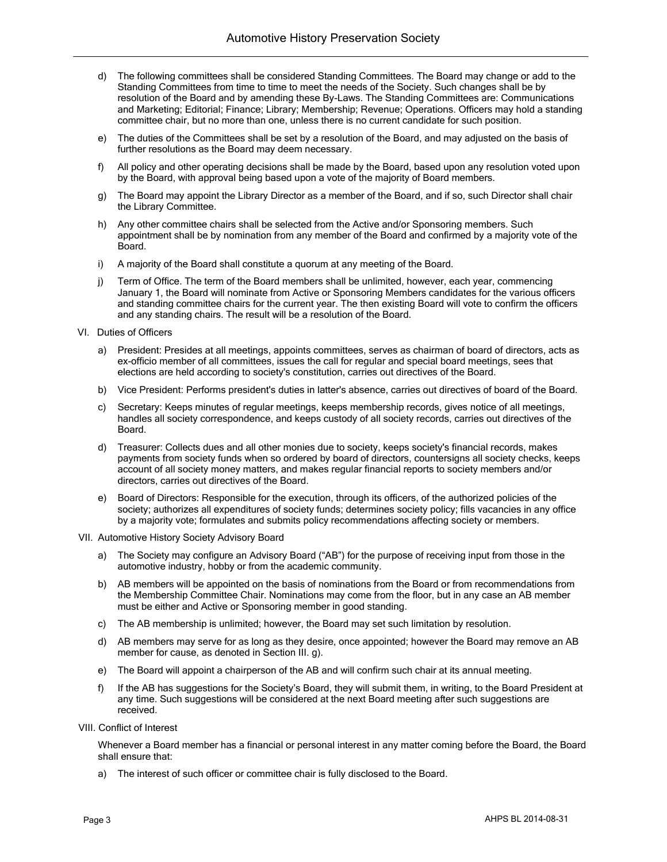- d) The following committees shall be considered Standing Committees. The Board may change or add to the Standing Committees from time to time to meet the needs of the Society. Such changes shall be by resolution of the Board and by amending these By-Laws. The Standing Committees are: Communications and Marketing; Editorial; Finance; Library; Membership; Revenue; Operations. Officers may hold a standing committee chair, but no more than one, unless there is no current candidate for such position.
- e) The duties of the Committees shall be set by a resolution of the Board, and may adjusted on the basis of further resolutions as the Board may deem necessary.
- f) All policy and other operating decisions shall be made by the Board, based upon any resolution voted upon by the Board, with approval being based upon a vote of the majority of Board members.
- g) The Board may appoint the Library Director as a member of the Board, and if so, such Director shall chair the Library Committee.
- h) Any other committee chairs shall be selected from the Active and/or Sponsoring members. Such appointment shall be by nomination from any member of the Board and confirmed by a majority vote of the Board.
- i) A majority of the Board shall constitute a quorum at any meeting of the Board.
- j) Term of Office. The term of the Board members shall be unlimited, however, each year, commencing January 1, the Board will nominate from Active or Sponsoring Members candidates for the various officers and standing committee chairs for the current year. The then existing Board will vote to confirm the officers and any standing chairs. The result will be a resolution of the Board.
- VI. Duties of Officers
	- a) President: Presides at all meetings, appoints committees, serves as chairman of board of directors, acts as ex-officio member of all committees, issues the call for regular and special board meetings, sees that elections are held according to society's constitution, carries out directives of the Board.
	- b) Vice President: Performs president's duties in latter's absence, carries out directives of board of the Board.
	- c) Secretary: Keeps minutes of regular meetings, keeps membership records, gives notice of all meetings, handles all society correspondence, and keeps custody of all society records, carries out directives of the Board.
	- d) Treasurer: Collects dues and all other monies due to society, keeps society's financial records, makes payments from society funds when so ordered by board of directors, countersigns all society checks, keeps account of all society money matters, and makes regular financial reports to society members and/or directors, carries out directives of the Board.
	- e) Board of Directors: Responsible for the execution, through its officers, of the authorized policies of the society; authorizes all expenditures of society funds; determines society policy; fills vacancies in any office by a majority vote; formulates and submits policy recommendations affecting society or members.
- VII. Automotive History Society Advisory Board
	- a) The Society may configure an Advisory Board ("AB") for the purpose of receiving input from those in the automotive industry, hobby or from the academic community.
	- b) AB members will be appointed on the basis of nominations from the Board or from recommendations from the Membership Committee Chair. Nominations may come from the floor, but in any case an AB member must be either and Active or Sponsoring member in good standing.
	- c) The AB membership is unlimited; however, the Board may set such limitation by resolution.
	- d) AB members may serve for as long as they desire, once appointed; however the Board may remove an AB member for cause, as denoted in Section III. g).
	- e) The Board will appoint a chairperson of the AB and will confirm such chair at its annual meeting.
	- f) If the AB has suggestions for the Society's Board, they will submit them, in writing, to the Board President at any time. Such suggestions will be considered at the next Board meeting after such suggestions are received.
- VIII. Conflict of Interest

Whenever a Board member has a financial or personal interest in any matter coming before the Board, the Board shall ensure that:

a) The interest of such officer or committee chair is fully disclosed to the Board.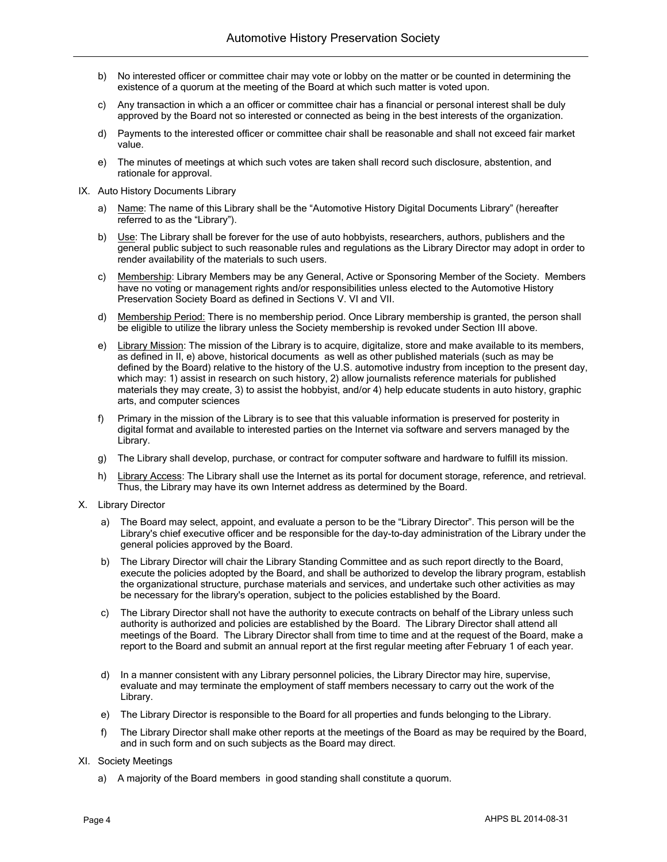- b) No interested officer or committee chair may vote or lobby on the matter or be counted in determining the existence of a quorum at the meeting of the Board at which such matter is voted upon.
- c) Any transaction in which a an officer or committee chair has a financial or personal interest shall be duly approved by the Board not so interested or connected as being in the best interests of the organization.
- d) Payments to the interested officer or committee chair shall be reasonable and shall not exceed fair market value.
- e) The minutes of meetings at which such votes are taken shall record such disclosure, abstention, and rationale for approval.
- IX. Auto History Documents Library
	- a) Name: The name of this Library shall be the "Automotive History Digital Documents Library" (hereafter referred to as the "Library").
	- b) Use: The Library shall be forever for the use of auto hobbyists, researchers, authors, publishers and the general public subject to such reasonable rules and regulations as the Library Director may adopt in order to render availability of the materials to such users.
	- c) Membership: Library Members may be any General, Active or Sponsoring Member of the Society. Members have no voting or management rights and/or responsibilities unless elected to the Automotive History Preservation Society Board as defined in Sections V. VI and VII.
	- d) Membership Period: There is no membership period. Once Library membership is granted, the person shall be eligible to utilize the library unless the Society membership is revoked under Section III above.
	- e) Library Mission: The mission of the Library is to acquire, digitalize, store and make available to its members, as defined in II, e) above, historical documents as well as other published materials (such as may be defined by the Board) relative to the history of the U.S. automotive industry from inception to the present day, which may: 1) assist in research on such history, 2) allow journalists reference materials for published materials they may create, 3) to assist the hobbyist, and/or 4) help educate students in auto history, graphic arts, and computer sciences
	- Primary in the mission of the Library is to see that this valuable information is preserved for posterity in digital format and available to interested parties on the Internet via software and servers managed by the Library.
	- g) The Library shall develop, purchase, or contract for computer software and hardware to fulfill its mission.
	- h) Library Access: The Library shall use the Internet as its portal for document storage, reference, and retrieval. Thus, the Library may have its own Internet address as determined by the Board.
- X. Library Director
	- a) The Board may select, appoint, and evaluate a person to be the "Library Director". This person will be the Library's chief executive officer and be responsible for the day-to-day administration of the Library under the general policies approved by the Board.
	- b) The Library Director will chair the Library Standing Committee and as such report directly to the Board, execute the policies adopted by the Board, and shall be authorized to develop the library program, establish the organizational structure, purchase materials and services, and undertake such other activities as may be necessary for the library's operation, subject to the policies established by the Board.
	- c) The Library Director shall not have the authority to execute contracts on behalf of the Library unless such authority is authorized and policies are established by the Board. The Library Director shall attend all meetings of the Board. The Library Director shall from time to time and at the request of the Board, make a report to the Board and submit an annual report at the first regular meeting after February 1 of each year.
	- d) In a manner consistent with any Library personnel policies, the Library Director may hire, supervise, evaluate and may terminate the employment of staff members necessary to carry out the work of the Library.
	- e) The Library Director is responsible to the Board for all properties and funds belonging to the Library.
	- f) The Library Director shall make other reports at the meetings of the Board as may be required by the Board, and in such form and on such subjects as the Board may direct.
- XI. Society Meetings
	- a) A majority of the Board members in good standing shall constitute a quorum.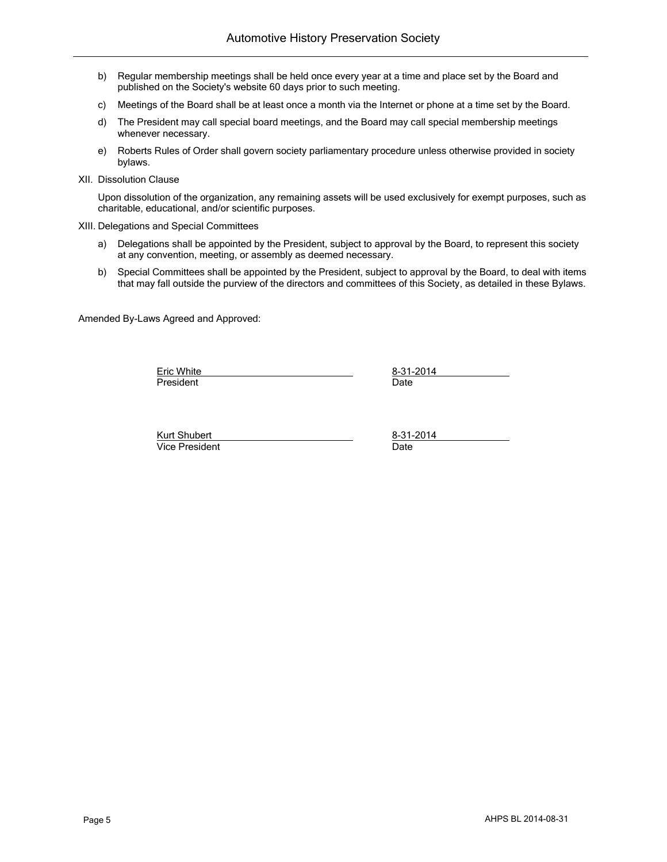- b) Regular membership meetings shall be held once every year at a time and place set by the Board and published on the Society's website 60 days prior to such meeting.
- c) Meetings of the Board shall be at least once a month via the Internet or phone at a time set by the Board.
- d) The President may call special board meetings, and the Board may call special membership meetings whenever necessary.
- e) Roberts Rules of Order shall govern society parliamentary procedure unless otherwise provided in society bylaws.
- XII. Dissolution Clause

 Upon dissolution of the organization, any remaining assets will be used exclusively for exempt purposes, such as charitable, educational, and/or scientific purposes.

#### XIII. Delegations and Special Committees

- a) Delegations shall be appointed by the President, subject to approval by the Board, to represent this society at any convention, meeting, or assembly as deemed necessary.
- b) Special Committees shall be appointed by the President, subject to approval by the Board, to deal with items that may fall outside the purview of the directors and committees of this Society, as detailed in these Bylaws.

Amended By-Laws Agreed and Approved:

Eric White 8-31-2014 President **Date** 

Kurt Shubert 8-31-2014 Vice President **Date**